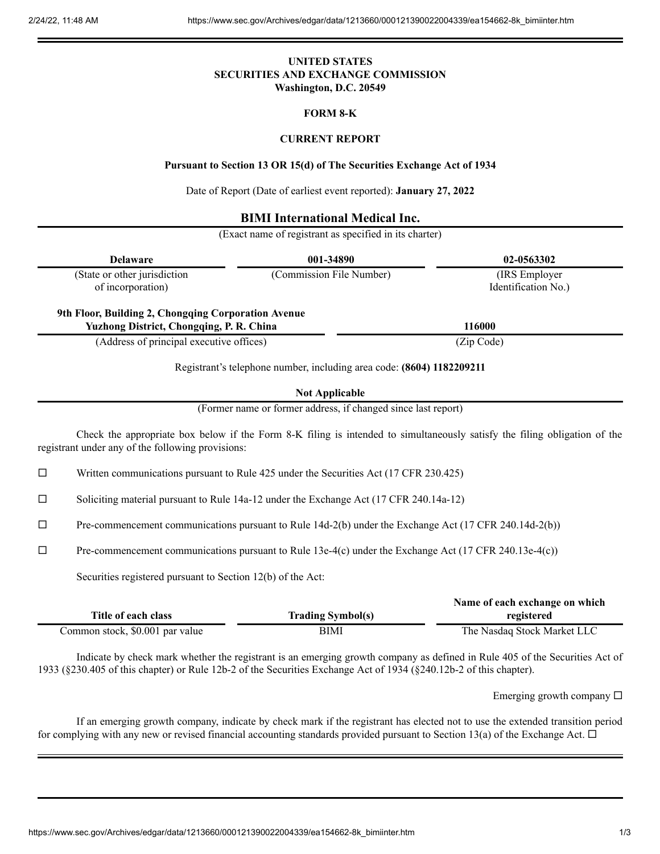### **UNITED STATES SECURITIES AND EXCHANGE COMMISSION Washington, D.C. 20549**

#### **FORM 8-K**

### **CURRENT REPORT**

#### **Pursuant to Section 13 OR 15(d) of The Securities Exchange Act of 1934**

Date of Report (Date of earliest event reported): **January 27, 2022**

# **BIMI International Medical Inc.**

(Exact name of registrant as specified in its charter)

| <b>Delaware</b>                                                                                        | 001-34890                | 02-0563302          |
|--------------------------------------------------------------------------------------------------------|--------------------------|---------------------|
| (State or other jurisdiction                                                                           | (Commission File Number) | (IRS Employer)      |
| of incorporation)                                                                                      |                          | Identification No.) |
|                                                                                                        |                          |                     |
|                                                                                                        |                          |                     |
| 9th Floor, Building 2, Chongqing Corporation Avenue<br><b>Yuzhong District, Chongqing, P. R. China</b> |                          | 116000              |

**Not Applicable**

(Former name or former address, if changed since last report)

Check the appropriate box below if the Form 8-K filing is intended to simultaneously satisfy the filing obligation of the registrant under any of the following provisions:

 $\Box$  Written communications pursuant to Rule 425 under the Securities Act (17 CFR 230.425)

 $\Box$  Soliciting material pursuant to Rule 14a-12 under the Exchange Act (17 CFR 240.14a-12)

 $\Box$  Pre-commencement communications pursuant to Rule 14d-2(b) under the Exchange Act (17 CFR 240.14d-2(b))

 $\Box$  Pre-commencement communications pursuant to Rule 13e-4(c) under the Exchange Act (17 CFR 240.13e-4(c))

Securities registered pursuant to Section 12(b) of the Act:

|                                 |                          | Name of each exchange on which |
|---------------------------------|--------------------------|--------------------------------|
| Title of each class             | <b>Trading Symbol(s)</b> | registered                     |
| Common stock, \$0.001 par value | BIMI                     | The Nasdaq Stock Market LLC    |

Indicate by check mark whether the registrant is an emerging growth company as defined in Rule 405 of the Securities Act of 1933 (§230.405 of this chapter) or Rule 12b-2 of the Securities Exchange Act of 1934 (§240.12b-2 of this chapter).

Emerging growth company  $\square$ 

If an emerging growth company, indicate by check mark if the registrant has elected not to use the extended transition period for complying with any new or revised financial accounting standards provided pursuant to Section 13(a) of the Exchange Act.  $\Box$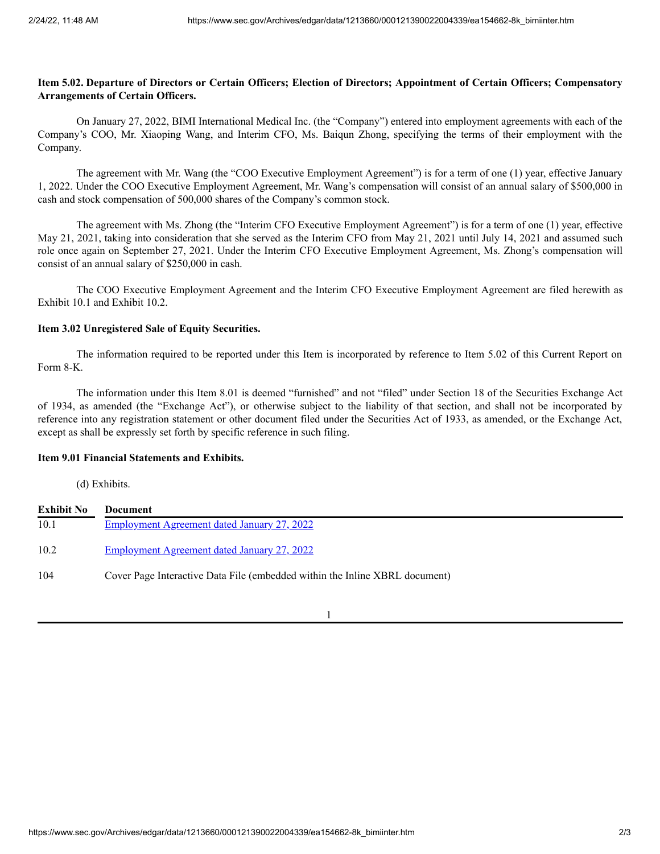## Item 5.02. Departure of Directors or Certain Officers; Election of Directors; Appointment of Certain Officers; Compensatory **Arrangements of Certain Officers.**

On January 27, 2022, BIMI International Medical Inc. (the "Company") entered into employment agreements with each of the Company's COO, Mr. Xiaoping Wang, and Interim CFO, Ms. Baiqun Zhong, specifying the terms of their employment with the Company.

The agreement with Mr. Wang (the "COO Executive Employment Agreement") is for a term of one (1) year, effective January 1, 2022. Under the COO Executive Employment Agreement, Mr. Wang's compensation will consist of an annual salary of \$500,000 in cash and stock compensation of 500,000 shares of the Company's common stock.

The agreement with Ms. Zhong (the "Interim CFO Executive Employment Agreement") is for a term of one (1) year, effective May 21, 2021, taking into consideration that she served as the Interim CFO from May 21, 2021 until July 14, 2021 and assumed such role once again on September 27, 2021. Under the Interim CFO Executive Employment Agreement, Ms. Zhong's compensation will consist of an annual salary of \$250,000 in cash.

The COO Executive Employment Agreement and the Interim CFO Executive Employment Agreement are filed herewith as Exhibit 10.1 and Exhibit 10.2.

## **Item 3.02 Unregistered Sale of Equity Securities.**

The information required to be reported under this Item is incorporated by reference to Item 5.02 of this Current Report on Form 8-K.

The information under this Item 8.01 is deemed "furnished" and not "filed" under Section 18 of the Securities Exchange Act of 1934, as amended (the "Exchange Act"), or otherwise subject to the liability of that section, and shall not be incorporated by reference into any registration statement or other document filed under the Securities Act of 1933, as amended, or the Exchange Act, except as shall be expressly set forth by specific reference in such filing.

#### **Item 9.01 Financial Statements and Exhibits.**

(d) Exhibits.

| <b>Exhibit No</b> | Document                                                                    |
|-------------------|-----------------------------------------------------------------------------|
| 10.1              | <b>Employment Agreement dated January 27, 2022</b>                          |
| 10.2              | <u>Employment Agreement dated January 27, 2022</u>                          |
| 104               | Cover Page Interactive Data File (embedded within the Inline XBRL document) |

1